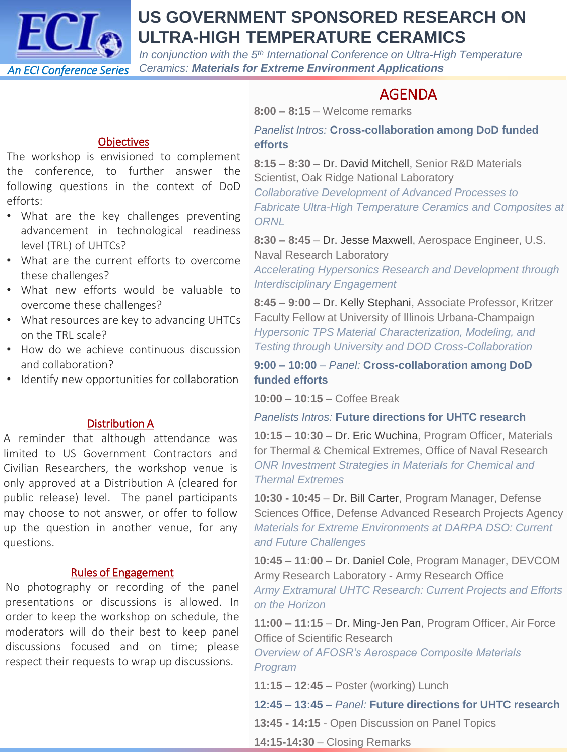

## **US GOVERNMENT SPONSORED RESEARCH ON ULTRA-HIGH TEMPERATURE CERAMICS**

*In conjunction with the 5th International Conference on Ultra-High Temperature Ceramics: Materials for Extreme Environment Applications*

### AGENDA

**8:00 – 8:15** – Welcome remarks

#### **Objectives**

The workshop is envisioned to complement the conference, to further answer the following questions in the context of DoD efforts:

- What are the key challenges preventing advancement in technological readiness level (TRL) of UHTCs?
- What are the current efforts to overcome these challenges?
- What new efforts would be valuable to overcome these challenges?
- What resources are key to advancing UHTCs on the TRL scale?
- How do we achieve continuous discussion and collaboration?
- Identify new opportunities for collaboration

#### Distribution A

A reminder that although attendance was limited to US Government Contractors and Civilian Researchers, the workshop venue is only approved at a Distribution A (cleared for public release) level. The panel participants may choose to not answer, or offer to follow up the question in another venue, for any questions.

#### Rules of Engagement

No photography or recording of the panel presentations or discussions is allowed. In order to keep the workshop on schedule, the moderators will do their best to keep panel discussions focused and on time; please respect their requests to wrap up discussions.

*Panelist Intros:* **Cross-collaboration among DoD funded efforts**

**8:15 – 8:30** – Dr. David Mitchell, Senior R&D Materials Scientist, Oak Ridge National Laboratory *Collaborative Development of Advanced Processes to Fabricate Ultra-High Temperature Ceramics and Composites at ORNL*

**8:30 – 8:45** – Dr. Jesse Maxwell, Aerospace Engineer, U.S. Naval Research Laboratory *Accelerating Hypersonics Research and Development through Interdisciplinary Engagement*

**8:45 – 9:00** – Dr. Kelly Stephani, Associate Professor, Kritzer Faculty Fellow at University of Illinois Urbana-Champaign *Hypersonic TPS Material Characterization, Modeling, and Testing through University and DOD Cross-Collaboration*

**9:00 – 10:00** – *Panel:* **Cross-collaboration among DoD funded efforts**

**10:00 – 10:15** – Coffee Break

#### *Panelists Intros:* **Future directions for UHTC research**

**10:15 – 10:30** – Dr. Eric Wuchina, Program Officer, Materials for Thermal & Chemical Extremes, Office of Naval Research *ONR Investment Strategies in Materials for Chemical and Thermal Extremes*

**10:30 - 10:45** – Dr. Bill Carter, Program Manager, Defense Sciences Office, Defense Advanced Research Projects Agency *Materials for Extreme Environments at DARPA DSO: Current and Future Challenges*

**10:45 – 11:00** – Dr. Daniel Cole, Program Manager, DEVCOM Army Research Laboratory - Army Research Office *Army Extramural UHTC Research: Current Projects and Efforts on the Horizon*

**11:00 – 11:15** – Dr. Ming-Jen Pan, Program Officer, Air Force Office of Scientific Research

*Overview of AFOSR's Aerospace Composite Materials Program*

**11:15 – 12:45** – Poster (working) Lunch

**12:45 – 13:45** – *Panel:* **Future directions for UHTC research**

**13:45 - 14:15** - Open Discussion on Panel Topics

**14:15-14:30** – Closing Remarks